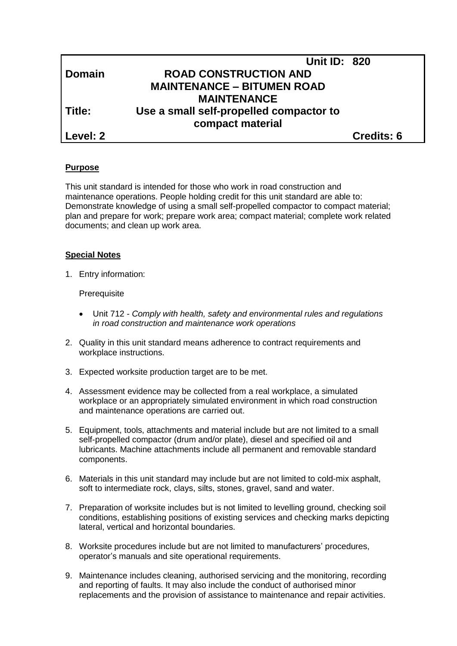|                 | <b>Unit ID: 820</b>                     |                   |
|-----------------|-----------------------------------------|-------------------|
| Domain          | <b>ROAD CONSTRUCTION AND</b>            |                   |
|                 | <b>MAINTENANCE - BITUMEN ROAD</b>       |                   |
|                 | <b>MAINTENANCE</b>                      |                   |
| Title:          | Use a small self-propelled compactor to |                   |
|                 | compact material                        |                   |
| <b>Level: 2</b> |                                         | <b>Credits: 6</b> |

## **Purpose**

This unit standard is intended for those who work in road construction and maintenance operations. People holding credit for this unit standard are able to: Demonstrate knowledge of using a small self-propelled compactor to compact material; plan and prepare for work; prepare work area; compact material; complete work related documents; and clean up work area.

## **Special Notes**

1. Entry information:

#### **Prerequisite**

- Unit 712 *- Comply with health, safety and environmental rules and regulations in road construction and maintenance work operations*
- 2. Quality in this unit standard means adherence to contract requirements and workplace instructions.
- 3. Expected worksite production target are to be met.
- 4. Assessment evidence may be collected from a real workplace, a simulated workplace or an appropriately simulated environment in which road construction and maintenance operations are carried out.
- 5. Equipment, tools, attachments and material include but are not limited to a small self-propelled compactor (drum and/or plate), diesel and specified oil and lubricants. Machine attachments include all permanent and removable standard components.
- 6. Materials in this unit standard may include but are not limited to cold-mix asphalt, soft to intermediate rock, clays, silts, stones, gravel, sand and water.
- 7. Preparation of worksite includes but is not limited to levelling ground, checking soil conditions, establishing positions of existing services and checking marks depicting lateral, vertical and horizontal boundaries.
- 8. Worksite procedures include but are not limited to manufacturers' procedures, operator's manuals and site operational requirements.
- 9. Maintenance includes cleaning, authorised servicing and the monitoring, recording and reporting of faults. It may also include the conduct of authorised minor replacements and the provision of assistance to maintenance and repair activities.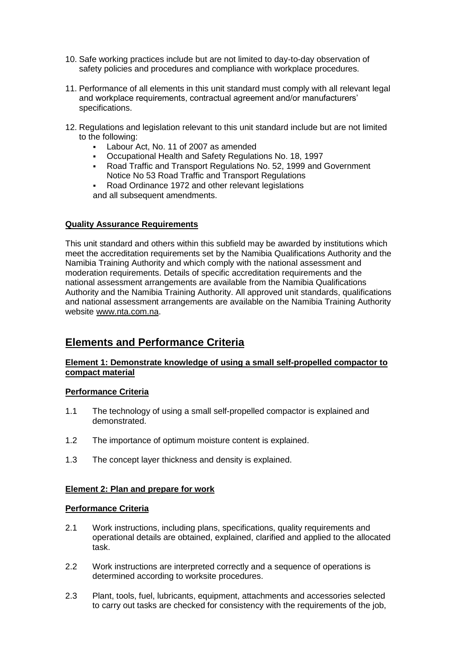- 10. Safe working practices include but are not limited to day-to-day observation of safety policies and procedures and compliance with workplace procedures.
- 11. Performance of all elements in this unit standard must comply with all relevant legal and workplace requirements, contractual agreement and/or manufacturers' specifications.
- 12. Regulations and legislation relevant to this unit standard include but are not limited to the following:
	- Labour Act, No. 11 of 2007 as amended
	- Occupational Health and Safety Regulations No. 18, 1997
	- Road Traffic and Transport Regulations No. 52, 1999 and Government Notice No 53 Road Traffic and Transport Regulations
	- Road Ordinance 1972 and other relevant legislations and all subsequent amendments.

## **Quality Assurance Requirements**

This unit standard and others within this subfield may be awarded by institutions which meet the accreditation requirements set by the Namibia Qualifications Authority and the Namibia Training Authority and which comply with the national assessment and moderation requirements. Details of specific accreditation requirements and the national assessment arrangements are available from the Namibia Qualifications Authority and the Namibia Training Authority. All approved unit standards, qualifications and national assessment arrangements are available on the Namibia Training Authority website [www.nta.com.na.](http://www.nta.com.na/)

# **Elements and Performance Criteria**

## **Element 1: Demonstrate knowledge of using a small self-propelled compactor to compact material**

## **Performance Criteria**

- 1.1 The technology of using a small self-propelled compactor is explained and demonstrated.
- 1.2 The importance of optimum moisture content is explained.
- 1.3 The concept layer thickness and density is explained.

## **Element 2: Plan and prepare for work**

## **Performance Criteria**

- 2.1 Work instructions, including plans, specifications, quality requirements and operational details are obtained, explained, clarified and applied to the allocated task.
- 2.2 Work instructions are interpreted correctly and a sequence of operations is determined according to worksite procedures.
- 2.3 Plant, tools, fuel, lubricants, equipment, attachments and accessories selected to carry out tasks are checked for consistency with the requirements of the job,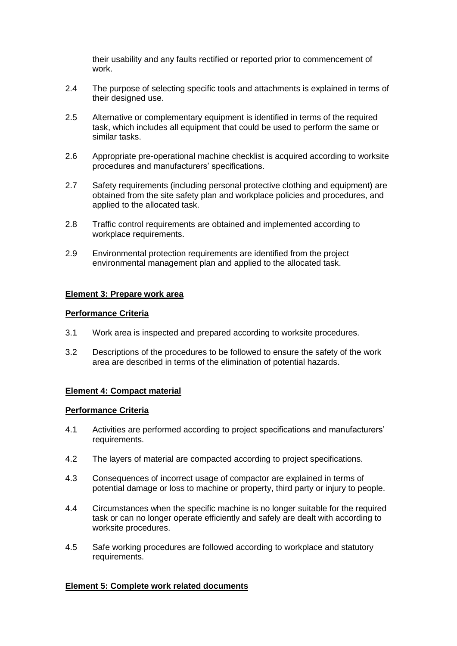their usability and any faults rectified or reported prior to commencement of work.

- 2.4 The purpose of selecting specific tools and attachments is explained in terms of their designed use.
- 2.5 Alternative or complementary equipment is identified in terms of the required task, which includes all equipment that could be used to perform the same or similar tasks.
- 2.6 Appropriate pre-operational machine checklist is acquired according to worksite procedures and manufacturers' specifications.
- 2.7 Safety requirements (including personal protective clothing and equipment) are obtained from the site safety plan and workplace policies and procedures, and applied to the allocated task.
- 2.8 Traffic control requirements are obtained and implemented according to workplace requirements.
- 2.9 Environmental protection requirements are identified from the project environmental management plan and applied to the allocated task.

## **Element 3: Prepare work area**

#### **Performance Criteria**

- 3.1 Work area is inspected and prepared according to worksite procedures.
- 3.2 Descriptions of the procedures to be followed to ensure the safety of the work area are described in terms of the elimination of potential hazards.

#### **Element 4: Compact material**

#### **Performance Criteria**

- 4.1 Activities are performed according to project specifications and manufacturers' requirements.
- 4.2 The layers of material are compacted according to project specifications.
- 4.3 Consequences of incorrect usage of compactor are explained in terms of potential damage or loss to machine or property, third party or injury to people.
- 4.4 Circumstances when the specific machine is no longer suitable for the required task or can no longer operate efficiently and safely are dealt with according to worksite procedures.
- 4.5 Safe working procedures are followed according to workplace and statutory requirements.

#### **Element 5: Complete work related documents**